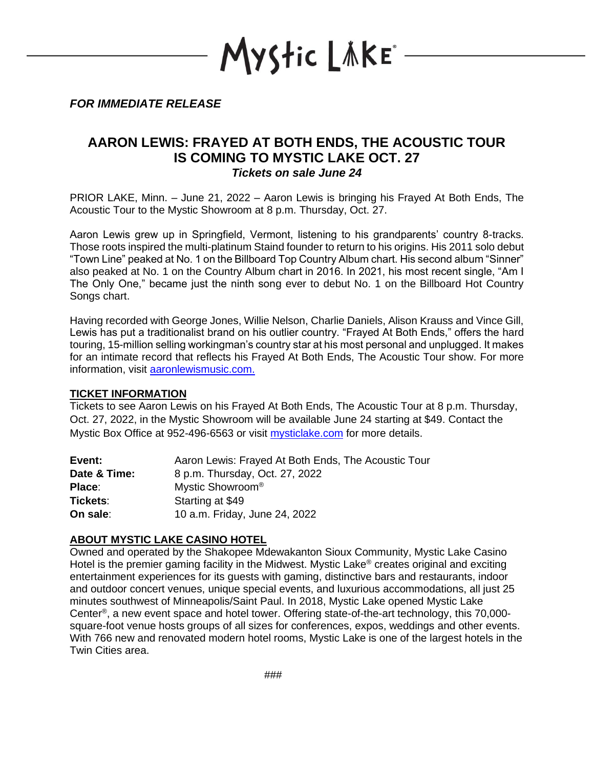YStic LÄKE\*

*FOR IMMEDIATE RELEASE*

## **AARON LEWIS: FRAYED AT BOTH ENDS, THE ACOUSTIC TOUR IS COMING TO MYSTIC LAKE OCT. 27** *Tickets on sale June 24*

PRIOR LAKE, Minn. – June 21, 2022 – Aaron Lewis is bringing his Frayed At Both Ends, The Acoustic Tour to the Mystic Showroom at 8 p.m. Thursday, Oct. 27.

Aaron Lewis grew up in Springfield, Vermont, listening to his grandparents' country 8-tracks. Those roots inspired the multi-platinum Staind founder to return to his origins. His 2011 solo debut "Town Line" peaked at No. 1 on the Billboard Top Country Album chart. His second album "Sinner" also peaked at No. 1 on the Country Album chart in 2016. In 2021, his most recent single, "Am I The Only One," became just the ninth song ever to debut No. 1 on the Billboard Hot Country Songs chart.

Having recorded with George Jones, Willie Nelson, Charlie Daniels, Alison Krauss and Vince Gill, Lewis has put a traditionalist brand on his outlier country. "Frayed At Both Ends," offers the hard touring, 15-million selling workingman's country star at his most personal and unplugged. It makes for an intimate record that reflects his Frayed At Both Ends, The Acoustic Tour show. For more information, visit [aaronlewismusic.com.](https://aaronlewismusic.com/)

## **TICKET INFORMATION**

Tickets to see Aaron Lewis on his Frayed At Both Ends, The Acoustic Tour at 8 p.m. Thursday, Oct. 27, 2022, in the Mystic Showroom will be available June 24 starting at \$49. Contact the Mystic Box Office at 952-496-6563 or visit [mysticlake.com](http://www.mysticlake.com/) for more details.

| Event:       | Aaron Lewis: Frayed At Both Ends, The Acoustic Tour |
|--------------|-----------------------------------------------------|
| Date & Time: | 8 p.m. Thursday, Oct. 27, 2022                      |
| Place:       | Mystic Showroom <sup>®</sup>                        |
| Tickets:     | Starting at \$49                                    |
| On sale:     | 10 a.m. Friday, June 24, 2022                       |

## **ABOUT MYSTIC LAKE CASINO HOTEL**

Owned and operated by the Shakopee Mdewakanton Sioux Community, Mystic Lake Casino Hotel is the premier gaming facility in the Midwest. Mystic Lake<sup>®</sup> creates original and exciting entertainment experiences for its guests with gaming, distinctive bars and restaurants, indoor and outdoor concert venues, unique special events, and luxurious accommodations, all just 25 minutes southwest of Minneapolis/Saint Paul. In 2018, Mystic Lake opened Mystic Lake Center<sup>®</sup>, a new event space and hotel tower. Offering state-of-the-art technology, this 70,000square-foot venue hosts groups of all sizes for conferences, expos, weddings and other events. With 766 new and renovated modern hotel rooms, Mystic Lake is one of the largest hotels in the Twin Cities area.